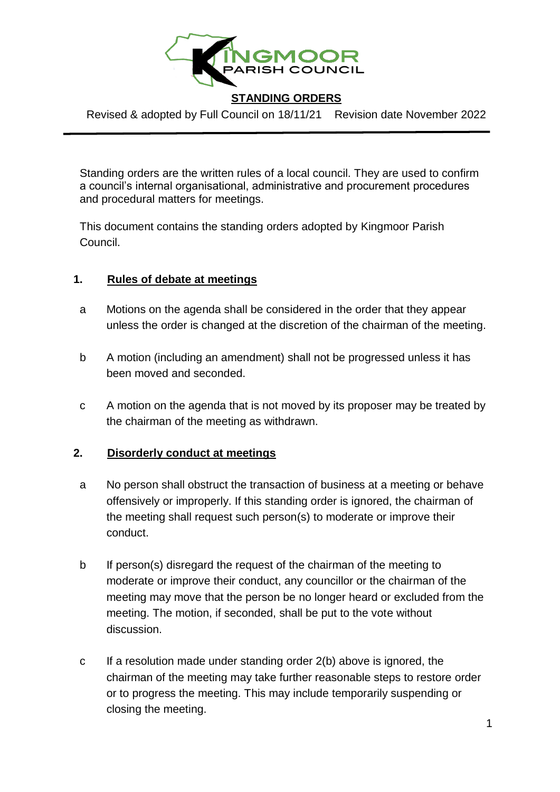

Revised & adopted by Full Council on 18/11/21 Revision date November 2022

Standing orders are the written rules of a local council. They are used to confirm a council's internal organisational, administrative and procurement procedures and procedural matters for meetings.

This document contains the standing orders adopted by Kingmoor Parish Council.

# **1. Rules of debate at meetings**

- a Motions on the agenda shall be considered in the order that they appear unless the order is changed at the discretion of the chairman of the meeting.
- b A motion (including an amendment) shall not be progressed unless it has been moved and seconded.
- c A motion on the agenda that is not moved by its proposer may be treated by the chairman of the meeting as withdrawn.

# **2. Disorderly conduct at meetings**

- a No person shall obstruct the transaction of business at a meeting or behave offensively or improperly. If this standing order is ignored, the chairman of the meeting shall request such person(s) to moderate or improve their conduct.
- b If person(s) disregard the request of the chairman of the meeting to moderate or improve their conduct, any councillor or the chairman of the meeting may move that the person be no longer heard or excluded from the meeting. The motion, if seconded, shall be put to the vote without discussion.
- c If a resolution made under standing order 2(b) above is ignored, the chairman of the meeting may take further reasonable steps to restore order or to progress the meeting. This may include temporarily suspending or closing the meeting.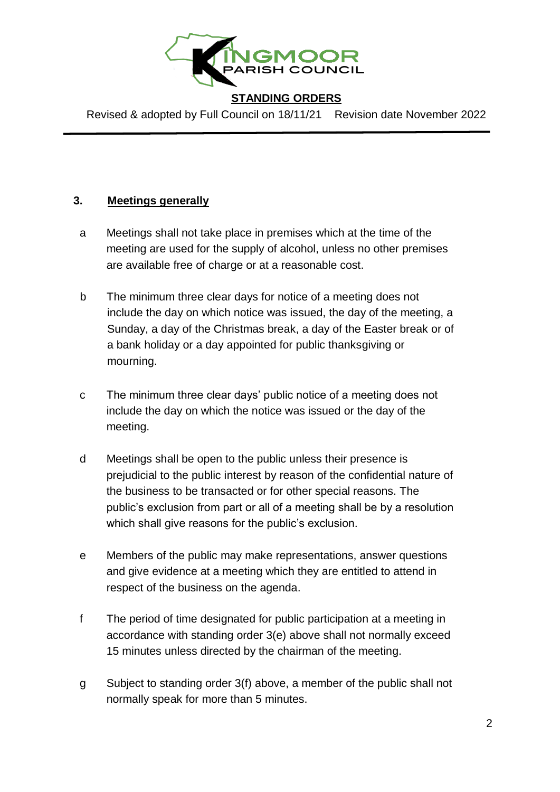

Revised & adopted by Full Council on 18/11/21 Revision date November 2022

# **3. Meetings generally**

- a Meetings shall not take place in premises which at the time of the meeting are used for the supply of alcohol, unless no other premises are available free of charge or at a reasonable cost.
- b The minimum three clear days for notice of a meeting does not include the day on which notice was issued, the day of the meeting, a Sunday, a day of the Christmas break, a day of the Easter break or of a bank holiday or a day appointed for public thanksgiving or mourning.
- c The minimum three clear days' public notice of a meeting does not include the day on which the notice was issued or the day of the meeting.
- d Meetings shall be open to the public unless their presence is prejudicial to the public interest by reason of the confidential nature of the business to be transacted or for other special reasons. The public's exclusion from part or all of a meeting shall be by a resolution which shall give reasons for the public's exclusion.
- e Members of the public may make representations, answer questions and give evidence at a meeting which they are entitled to attend in respect of the business on the agenda.
- f The period of time designated for public participation at a meeting in accordance with standing order 3(e) above shall not normally exceed 15 minutes unless directed by the chairman of the meeting.
- g Subject to standing order 3(f) above, a member of the public shall not normally speak for more than 5 minutes.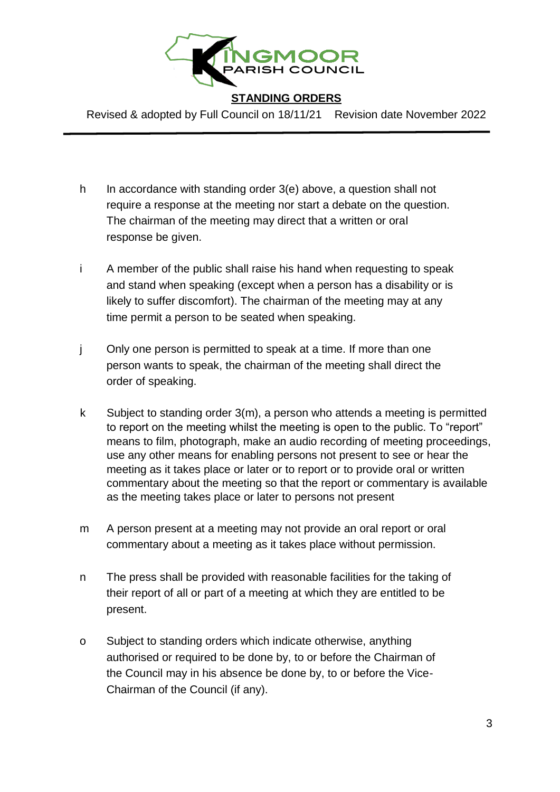

Revised & adopted by Full Council on 18/11/21 Revision date November 2022

- h In accordance with standing order 3(e) above, a question shall not require a response at the meeting nor start a debate on the question. The chairman of the meeting may direct that a written or oral response be given.
- i A member of the public shall raise his hand when requesting to speak and stand when speaking (except when a person has a disability or is likely to suffer discomfort). The chairman of the meeting may at any time permit a person to be seated when speaking.
- j Only one person is permitted to speak at a time. If more than one person wants to speak, the chairman of the meeting shall direct the order of speaking.
- k Subject to standing order 3(m), a person who attends a meeting is permitted to report on the meeting whilst the meeting is open to the public. To "report" means to film, photograph, make an audio recording of meeting proceedings, use any other means for enabling persons not present to see or hear the meeting as it takes place or later or to report or to provide oral or written commentary about the meeting so that the report or commentary is available as the meeting takes place or later to persons not present
- m A person present at a meeting may not provide an oral report or oral commentary about a meeting as it takes place without permission.
- n The press shall be provided with reasonable facilities for the taking of their report of all or part of a meeting at which they are entitled to be present.
- o Subject to standing orders which indicate otherwise, anything authorised or required to be done by, to or before the Chairman of the Council may in his absence be done by, to or before the Vice-Chairman of the Council (if any).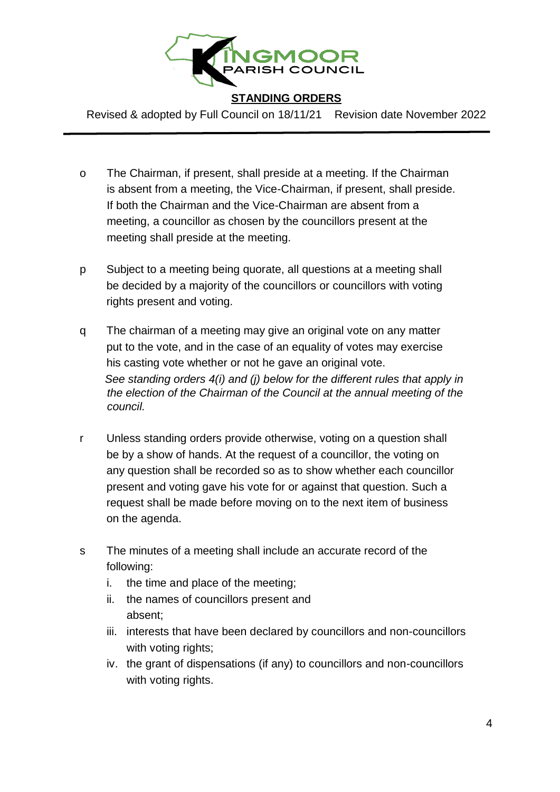

Revised & adopted by Full Council on 18/11/21 Revision date November 2022

- o The Chairman, if present, shall preside at a meeting. If the Chairman is absent from a meeting, the Vice-Chairman, if present, shall preside. If both the Chairman and the Vice-Chairman are absent from a meeting, a councillor as chosen by the councillors present at the meeting shall preside at the meeting.
- p Subject to a meeting being quorate, all questions at a meeting shall be decided by a majority of the councillors or councillors with voting rights present and voting.
- q The chairman of a meeting may give an original vote on any matter put to the vote, and in the case of an equality of votes may exercise his casting vote whether or not he gave an original vote.  *See standing orders 4(i) and (j) below for the different rules that apply in the election of the Chairman of the Council at the annual meeting of the council.*
- r Unless standing orders provide otherwise, voting on a question shall be by a show of hands. At the request of a councillor, the voting on any question shall be recorded so as to show whether each councillor present and voting gave his vote for or against that question. Such a request shall be made before moving on to the next item of business on the agenda.
- s The minutes of a meeting shall include an accurate record of the following:
	- i. the time and place of the meeting;
	- ii. the names of councillors present and absent;
	- iii. interests that have been declared by councillors and non-councillors with voting rights;
	- iv. the grant of dispensations (if any) to councillors and non-councillors with voting rights.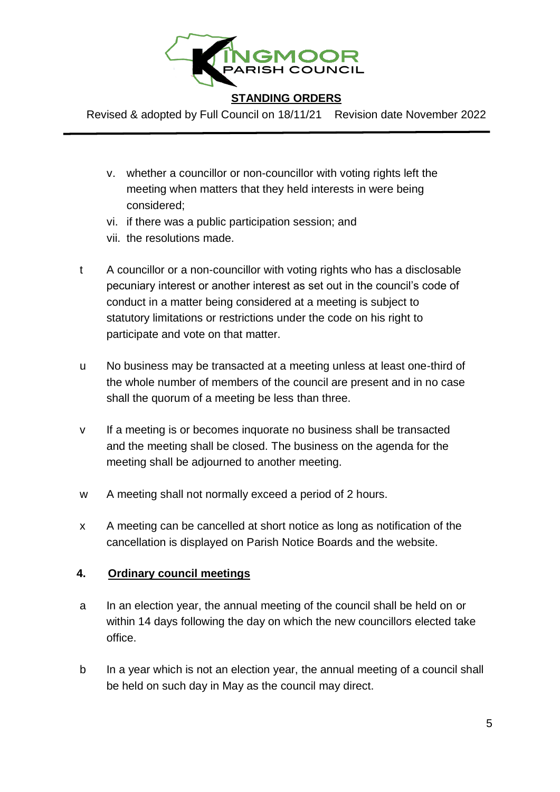

Revised & adopted by Full Council on 18/11/21 Revision date November 2022

- v. whether a councillor or non-councillor with voting rights left the meeting when matters that they held interests in were being considered;
- vi. if there was a public participation session; and
- vii. the resolutions made.
- t A councillor or a non-councillor with voting rights who has a disclosable pecuniary interest or another interest as set out in the council's code of conduct in a matter being considered at a meeting is subject to statutory limitations or restrictions under the code on his right to participate and vote on that matter.
- u No business may be transacted at a meeting unless at least one-third of the whole number of members of the council are present and in no case shall the quorum of a meeting be less than three.
- v If a meeting is or becomes inquorate no business shall be transacted and the meeting shall be closed. The business on the agenda for the meeting shall be adjourned to another meeting.
- w A meeting shall not normally exceed a period of 2 hours.
- x A meeting can be cancelled at short notice as long as notification of the cancellation is displayed on Parish Notice Boards and the website.

#### **4. Ordinary council meetings**

- a In an election year, the annual meeting of the council shall be held on or within 14 days following the day on which the new councillors elected take office.
- b In a year which is not an election year, the annual meeting of a council shall be held on such day in May as the council may direct.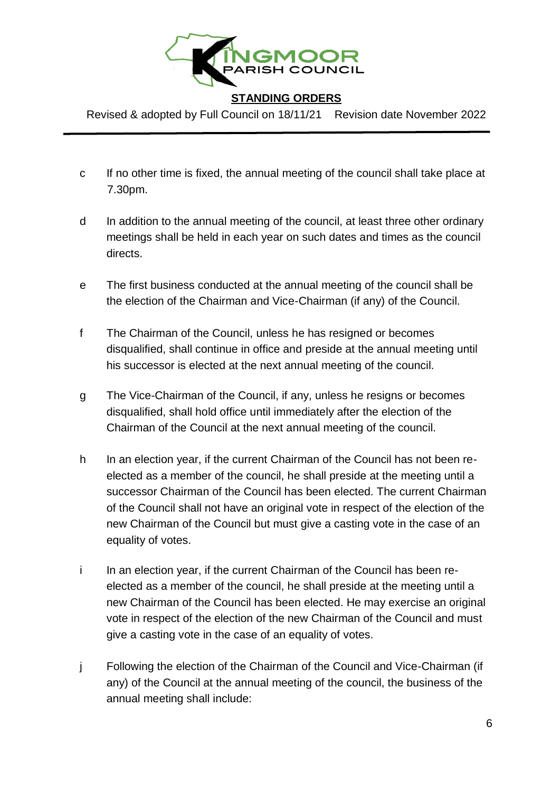

Revised & adopted by Full Council on 18/11/21 Revision date November 2022

- c If no other time is fixed, the annual meeting of the council shall take place at 7.30pm.
- d In addition to the annual meeting of the council, at least three other ordinary meetings shall be held in each year on such dates and times as the council directs.
- e The first business conducted at the annual meeting of the council shall be the election of the Chairman and Vice-Chairman (if any) of the Council.
- f The Chairman of the Council, unless he has resigned or becomes disqualified, shall continue in office and preside at the annual meeting until his successor is elected at the next annual meeting of the council.
- g The Vice-Chairman of the Council, if any, unless he resigns or becomes disqualified, shall hold office until immediately after the election of the Chairman of the Council at the next annual meeting of the council.
- h In an election year, if the current Chairman of the Council has not been reelected as a member of the council, he shall preside at the meeting until a successor Chairman of the Council has been elected. The current Chairman of the Council shall not have an original vote in respect of the election of the new Chairman of the Council but must give a casting vote in the case of an equality of votes.
- i In an election year, if the current Chairman of the Council has been reelected as a member of the council, he shall preside at the meeting until a new Chairman of the Council has been elected. He may exercise an original vote in respect of the election of the new Chairman of the Council and must give a casting vote in the case of an equality of votes.
- j Following the election of the Chairman of the Council and Vice-Chairman (if any) of the Council at the annual meeting of the council, the business of the annual meeting shall include: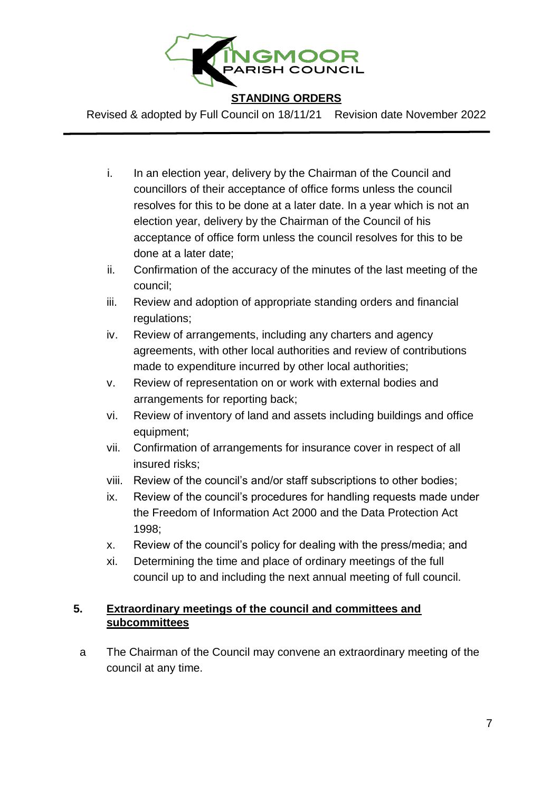

Revised & adopted by Full Council on 18/11/21 Revision date November 2022

- i. In an election year, delivery by the Chairman of the Council and councillors of their acceptance of office forms unless the council resolves for this to be done at a later date. In a year which is not an election year, delivery by the Chairman of the Council of his acceptance of office form unless the council resolves for this to be done at a later date;
- ii. Confirmation of the accuracy of the minutes of the last meeting of the council;
- iii. Review and adoption of appropriate standing orders and financial regulations;
- iv. Review of arrangements, including any charters and agency agreements, with other local authorities and review of contributions made to expenditure incurred by other local authorities;
- v. Review of representation on or work with external bodies and arrangements for reporting back;
- vi. Review of inventory of land and assets including buildings and office equipment;
- vii. Confirmation of arrangements for insurance cover in respect of all insured risks;
- viii. Review of the council's and/or staff subscriptions to other bodies;
- ix. Review of the council's procedures for handling requests made under the Freedom of Information Act 2000 and the Data Protection Act 1998;
- x. Review of the council's policy for dealing with the press/media; and
- xi. Determining the time and place of ordinary meetings of the full council up to and including the next annual meeting of full council.

# **5. Extraordinary meetings of the council and committees and subcommittees**

a The Chairman of the Council may convene an extraordinary meeting of the council at any time.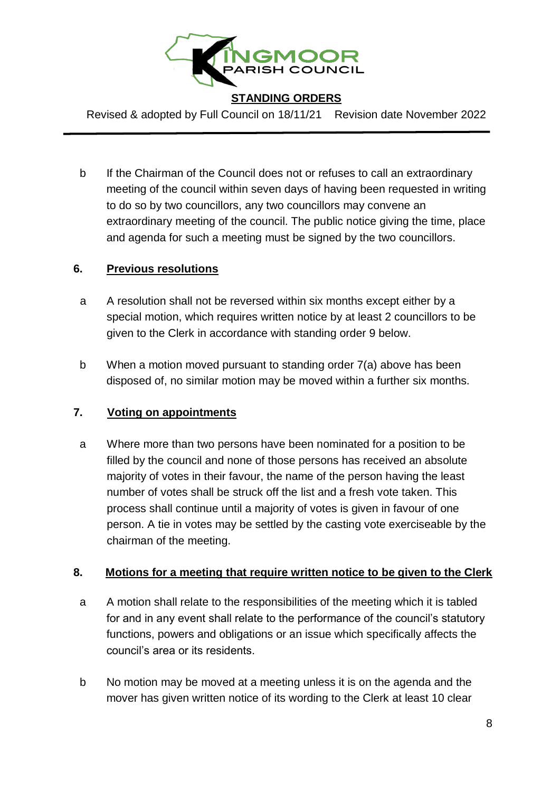

Revised & adopted by Full Council on 18/11/21 Revision date November 2022

b If the Chairman of the Council does not or refuses to call an extraordinary meeting of the council within seven days of having been requested in writing to do so by two councillors, any two councillors may convene an extraordinary meeting of the council. The public notice giving the time, place and agenda for such a meeting must be signed by the two councillors.

# **6. Previous resolutions**

- a A resolution shall not be reversed within six months except either by a special motion, which requires written notice by at least 2 councillors to be given to the Clerk in accordance with standing order 9 below.
- b When a motion moved pursuant to standing order 7(a) above has been disposed of, no similar motion may be moved within a further six months.

# **7. Voting on appointments**

a Where more than two persons have been nominated for a position to be filled by the council and none of those persons has received an absolute majority of votes in their favour, the name of the person having the least number of votes shall be struck off the list and a fresh vote taken. This process shall continue until a majority of votes is given in favour of one person. A tie in votes may be settled by the casting vote exerciseable by the chairman of the meeting.

#### **8. Motions for a meeting that require written notice to be given to the Clerk**

- a A motion shall relate to the responsibilities of the meeting which it is tabled for and in any event shall relate to the performance of the council's statutory functions, powers and obligations or an issue which specifically affects the council's area or its residents.
- b No motion may be moved at a meeting unless it is on the agenda and the mover has given written notice of its wording to the Clerk at least 10 clear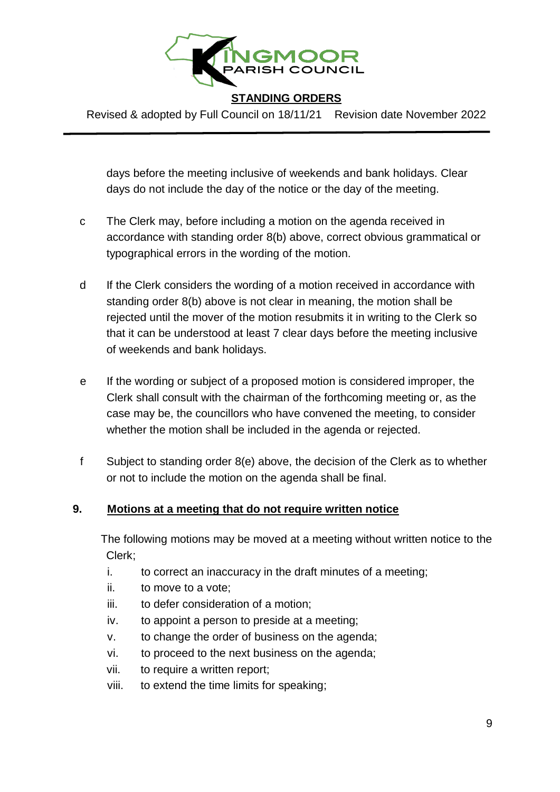

Revised & adopted by Full Council on 18/11/21 Revision date November 2022

days before the meeting inclusive of weekends and bank holidays. Clear days do not include the day of the notice or the day of the meeting.

- c The Clerk may, before including a motion on the agenda received in accordance with standing order 8(b) above, correct obvious grammatical or typographical errors in the wording of the motion.
- d If the Clerk considers the wording of a motion received in accordance with standing order 8(b) above is not clear in meaning, the motion shall be rejected until the mover of the motion resubmits it in writing to the Clerk so that it can be understood at least 7 clear days before the meeting inclusive of weekends and bank holidays.
- e If the wording or subject of a proposed motion is considered improper, the Clerk shall consult with the chairman of the forthcoming meeting or, as the case may be, the councillors who have convened the meeting, to consider whether the motion shall be included in the agenda or rejected.
- f Subject to standing order 8(e) above, the decision of the Clerk as to whether or not to include the motion on the agenda shall be final.

# **9. Motions at a meeting that do not require written notice**

The following motions may be moved at a meeting without written notice to the Clerk;

- i. to correct an inaccuracy in the draft minutes of a meeting;
- ii. to move to a vote;
- iii. to defer consideration of a motion;
- iv. to appoint a person to preside at a meeting;
- v. to change the order of business on the agenda;
- vi. to proceed to the next business on the agenda;
- vii. to require a written report;
- viii. to extend the time limits for speaking;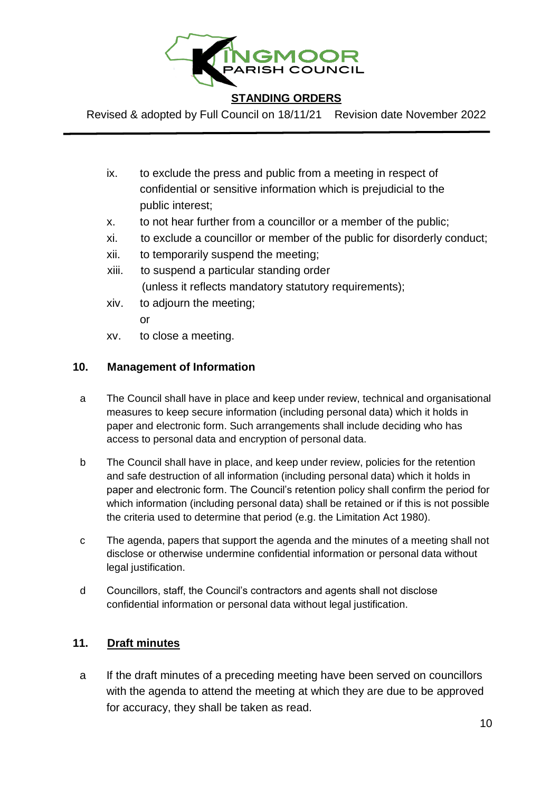

Revised & adopted by Full Council on 18/11/21 Revision date November 2022

- ix. to exclude the press and public from a meeting in respect of confidential or sensitive information which is prejudicial to the public interest;
- x. to not hear further from a councillor or a member of the public;
- xi. to exclude a councillor or member of the public for disorderly conduct;
- xii. to temporarily suspend the meeting;
- xiii. to suspend a particular standing order (unless it reflects mandatory statutory requirements);
- xiv. to adjourn the meeting;
	- or
- xv. to close a meeting.

# **10. Management of Information**

- a The Council shall have in place and keep under review, technical and organisational measures to keep secure information (including personal data) which it holds in paper and electronic form. Such arrangements shall include deciding who has access to personal data and encryption of personal data.
- b The Council shall have in place, and keep under review, policies for the retention and safe destruction of all information (including personal data) which it holds in paper and electronic form. The Council's retention policy shall confirm the period for which information (including personal data) shall be retained or if this is not possible the criteria used to determine that period (e.g. the Limitation Act 1980).
- c The agenda, papers that support the agenda and the minutes of a meeting shall not disclose or otherwise undermine confidential information or personal data without legal justification.
- d Councillors, staff, the Council's contractors and agents shall not disclose confidential information or personal data without legal justification.

# **11. Draft minutes**

a If the draft minutes of a preceding meeting have been served on councillors with the agenda to attend the meeting at which they are due to be approved for accuracy, they shall be taken as read.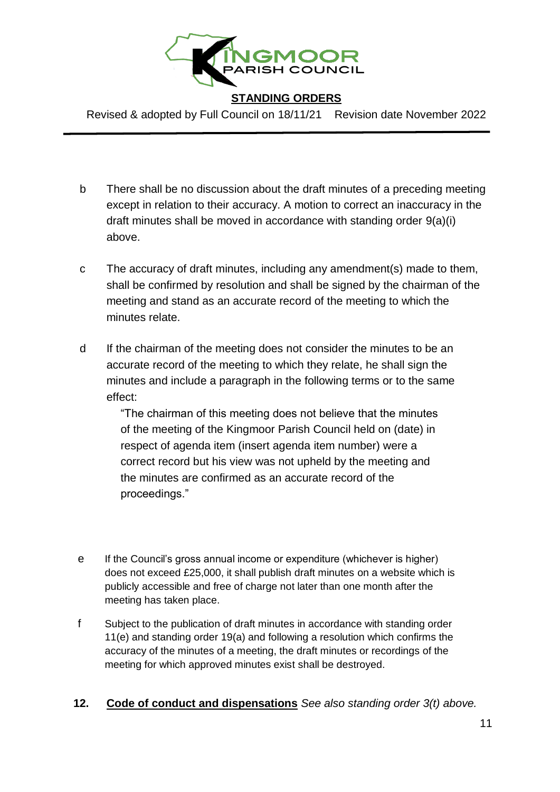

Revised & adopted by Full Council on 18/11/21 Revision date November 2022

- b There shall be no discussion about the draft minutes of a preceding meeting except in relation to their accuracy. A motion to correct an inaccuracy in the draft minutes shall be moved in accordance with standing order 9(a)(i) above.
- c The accuracy of draft minutes, including any amendment(s) made to them, shall be confirmed by resolution and shall be signed by the chairman of the meeting and stand as an accurate record of the meeting to which the minutes relate.
- d If the chairman of the meeting does not consider the minutes to be an accurate record of the meeting to which they relate, he shall sign the minutes and include a paragraph in the following terms or to the same effect:

"The chairman of this meeting does not believe that the minutes of the meeting of the Kingmoor Parish Council held on (date) in respect of agenda item (insert agenda item number) were a correct record but his view was not upheld by the meeting and the minutes are confirmed as an accurate record of the proceedings."

- e If the Council's gross annual income or expenditure (whichever is higher) does not exceed £25,000, it shall publish draft minutes on a website which is publicly accessible and free of charge not later than one month after the meeting has taken place.
- f Subject to the publication of draft minutes in accordance with standing order 11(e) and standing order 19(a) and following a resolution which confirms the accuracy of the minutes of a meeting, the draft minutes or recordings of the meeting for which approved minutes exist shall be destroyed.
- **12. Code of conduct and dispensations** *See also standing order 3(t) above.*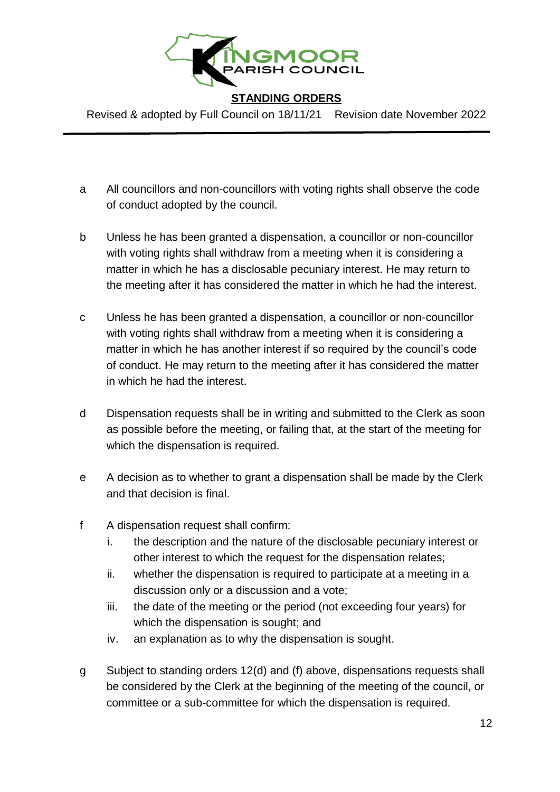

Revised & adopted by Full Council on 18/11/21 Revision date November 2022

- a All councillors and non-councillors with voting rights shall observe the code of conduct adopted by the council.
- b Unless he has been granted a dispensation, a councillor or non-councillor with voting rights shall withdraw from a meeting when it is considering a matter in which he has a disclosable pecuniary interest. He may return to the meeting after it has considered the matter in which he had the interest.
- c Unless he has been granted a dispensation, a councillor or non-councillor with voting rights shall withdraw from a meeting when it is considering a matter in which he has another interest if so required by the council's code of conduct. He may return to the meeting after it has considered the matter in which he had the interest.
- d Dispensation requests shall be in writing and submitted to the Clerk as soon as possible before the meeting, or failing that, at the start of the meeting for which the dispensation is required.
- e A decision as to whether to grant a dispensation shall be made by the Clerk and that decision is final.
- f A dispensation request shall confirm:
	- i. the description and the nature of the disclosable pecuniary interest or other interest to which the request for the dispensation relates;
	- ii. whether the dispensation is required to participate at a meeting in a discussion only or a discussion and a vote;
	- iii. the date of the meeting or the period (not exceeding four years) for which the dispensation is sought; and
	- iv. an explanation as to why the dispensation is sought.
- g Subject to standing orders 12(d) and (f) above, dispensations requests shall be considered by the Clerk at the beginning of the meeting of the council, or committee or a sub-committee for which the dispensation is required.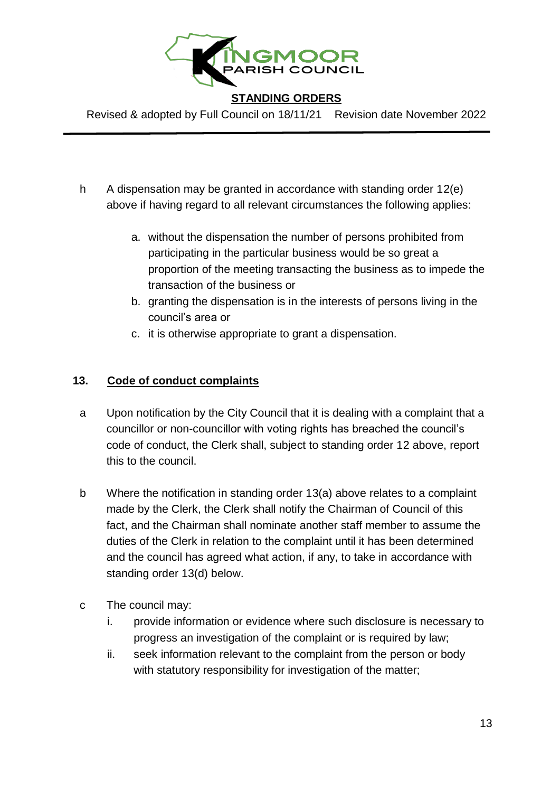

Revised & adopted by Full Council on 18/11/21 Revision date November 2022

- h A dispensation may be granted in accordance with standing order 12(e) above if having regard to all relevant circumstances the following applies:
	- a. without the dispensation the number of persons prohibited from participating in the particular business would be so great a proportion of the meeting transacting the business as to impede the transaction of the business or
	- b. granting the dispensation is in the interests of persons living in the council's area or
	- c. it is otherwise appropriate to grant a dispensation.

# **13. Code of conduct complaints**

- a Upon notification by the City Council that it is dealing with a complaint that a councillor or non-councillor with voting rights has breached the council's code of conduct, the Clerk shall, subject to standing order 12 above, report this to the council.
- b Where the notification in standing order 13(a) above relates to a complaint made by the Clerk, the Clerk shall notify the Chairman of Council of this fact, and the Chairman shall nominate another staff member to assume the duties of the Clerk in relation to the complaint until it has been determined and the council has agreed what action, if any, to take in accordance with standing order 13(d) below.
- c The council may:
	- i. provide information or evidence where such disclosure is necessary to progress an investigation of the complaint or is required by law;
	- ii. seek information relevant to the complaint from the person or body with statutory responsibility for investigation of the matter;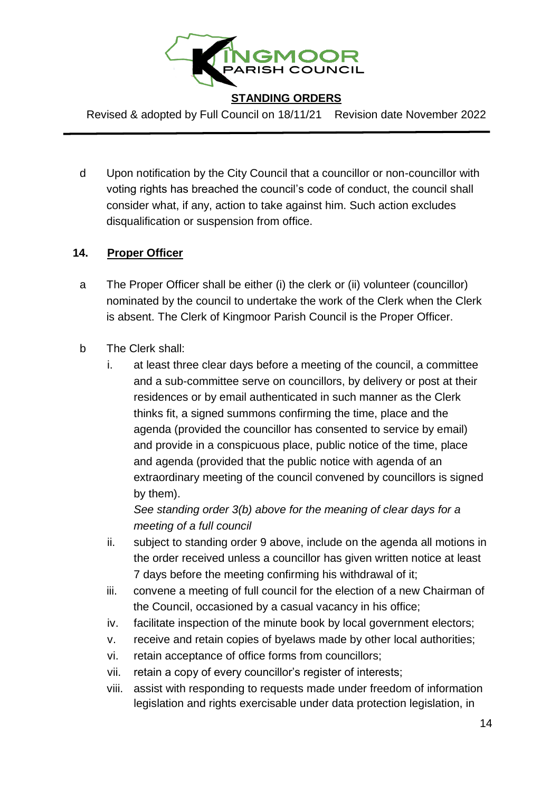

Revised & adopted by Full Council on 18/11/21 Revision date November 2022

d Upon notification by the City Council that a councillor or non-councillor with voting rights has breached the council's code of conduct, the council shall consider what, if any, action to take against him. Such action excludes disqualification or suspension from office.

# **14. Proper Officer**

- a The Proper Officer shall be either (i) the clerk or (ii) volunteer (councillor) nominated by the council to undertake the work of the Clerk when the Clerk is absent. The Clerk of Kingmoor Parish Council is the Proper Officer.
- b The Clerk shall:
	- i. at least three clear days before a meeting of the council, a committee and a sub-committee serve on councillors, by delivery or post at their residences or by email authenticated in such manner as the Clerk thinks fit, a signed summons confirming the time, place and the agenda (provided the councillor has consented to service by email) and provide in a conspicuous place, public notice of the time, place and agenda (provided that the public notice with agenda of an extraordinary meeting of the council convened by councillors is signed by them).

*See standing order 3(b) above for the meaning of clear days for a meeting of a full council* 

- ii. subject to standing order 9 above, include on the agenda all motions in the order received unless a councillor has given written notice at least 7 days before the meeting confirming his withdrawal of it;
- iii. convene a meeting of full council for the election of a new Chairman of the Council, occasioned by a casual vacancy in his office;
- iv. facilitate inspection of the minute book by local government electors;
- v. receive and retain copies of byelaws made by other local authorities;
- vi. retain acceptance of office forms from councillors;
- vii. retain a copy of every councillor's register of interests;
- viii. assist with responding to requests made under freedom of information legislation and rights exercisable under data protection legislation, in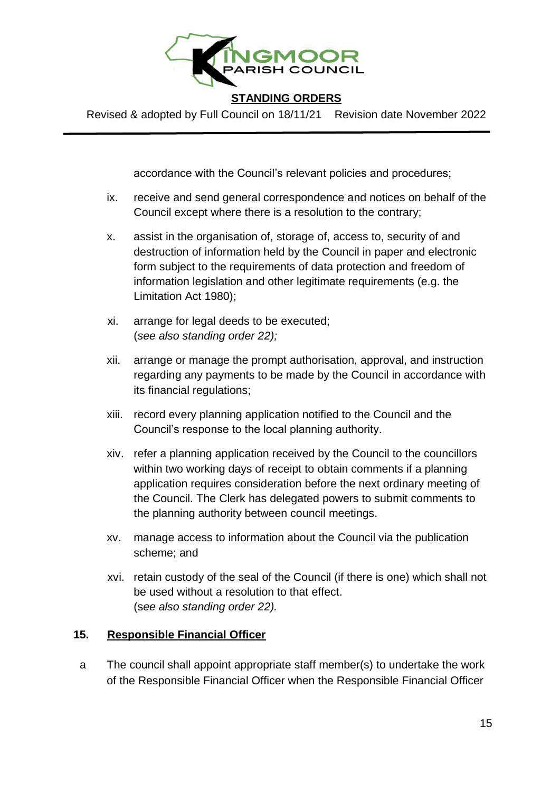

Revised & adopted by Full Council on 18/11/21 Revision date November 2022

accordance with the Council's relevant policies and procedures;

- ix. receive and send general correspondence and notices on behalf of the Council except where there is a resolution to the contrary;
- x. assist in the organisation of, storage of, access to, security of and destruction of information held by the Council in paper and electronic form subject to the requirements of data protection and freedom of information legislation and other legitimate requirements (e.g. the Limitation Act 1980);
- xi. arrange for legal deeds to be executed; (*see also standing order 22);*
- xii. arrange or manage the prompt authorisation, approval, and instruction regarding any payments to be made by the Council in accordance with its financial regulations;
- xiii. record every planning application notified to the Council and the Council's response to the local planning authority.
- xiv. refer a planning application received by the Council to the councillors within two working days of receipt to obtain comments if a planning application requires consideration before the next ordinary meeting of the Council. The Clerk has delegated powers to submit comments to the planning authority between council meetings.
- xv. manage access to information about the Council via the publication scheme; and
- xvi. retain custody of the seal of the Council (if there is one) which shall not be used without a resolution to that effect. (s*ee also standing order 22).*

#### **15. Responsible Financial Officer**

a The council shall appoint appropriate staff member(s) to undertake the work of the Responsible Financial Officer when the Responsible Financial Officer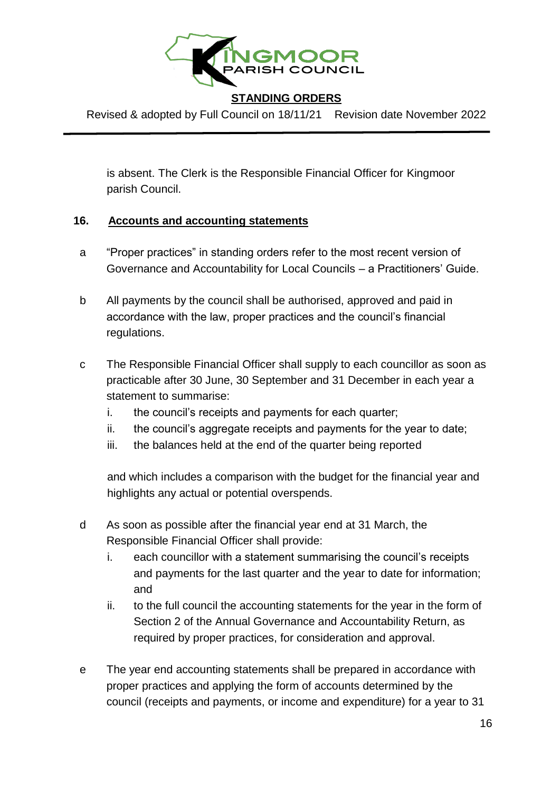

Revised & adopted by Full Council on 18/11/21 Revision date November 2022

is absent. The Clerk is the Responsible Financial Officer for Kingmoor parish Council.

# **16. Accounts and accounting statements**

- a "Proper practices" in standing orders refer to the most recent version of Governance and Accountability for Local Councils – a Practitioners' Guide.
- b All payments by the council shall be authorised, approved and paid in accordance with the law, proper practices and the council's financial regulations.
- c The Responsible Financial Officer shall supply to each councillor as soon as practicable after 30 June, 30 September and 31 December in each year a statement to summarise:
	- i. the council's receipts and payments for each quarter;
	- ii. the council's aggregate receipts and payments for the year to date;
	- iii. the balances held at the end of the quarter being reported

and which includes a comparison with the budget for the financial year and highlights any actual or potential overspends.

- d As soon as possible after the financial year end at 31 March, the Responsible Financial Officer shall provide:
	- i. each councillor with a statement summarising the council's receipts and payments for the last quarter and the year to date for information; and
	- ii. to the full council the accounting statements for the year in the form of Section 2 of the Annual Governance and Accountability Return, as required by proper practices, for consideration and approval.
- e The year end accounting statements shall be prepared in accordance with proper practices and applying the form of accounts determined by the council (receipts and payments, or income and expenditure) for a year to 31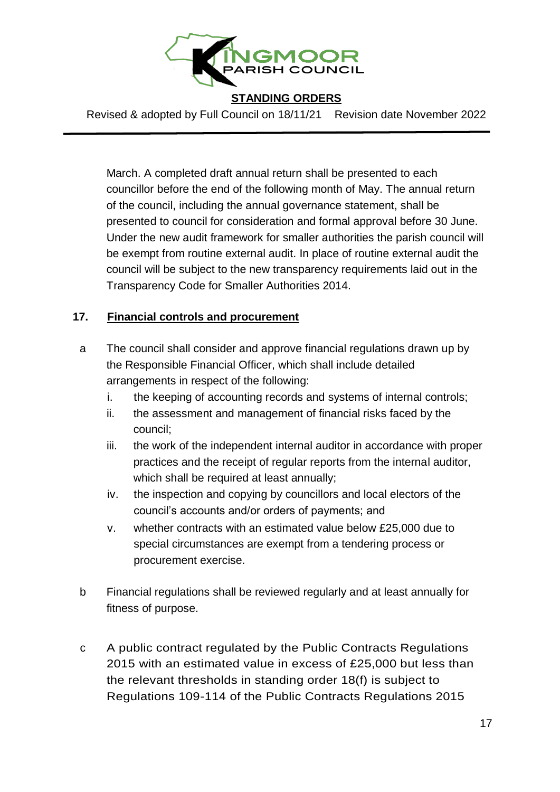

Revised & adopted by Full Council on 18/11/21 Revision date November 2022

March. A completed draft annual return shall be presented to each councillor before the end of the following month of May. The annual return of the council, including the annual governance statement, shall be presented to council for consideration and formal approval before 30 June. Under the new audit framework for smaller authorities the parish council will be exempt from routine external audit. In place of routine external audit the council will be subject to the new transparency requirements laid out in the Transparency Code for Smaller Authorities 2014.

# **17. Financial controls and procurement**

- a The council shall consider and approve financial regulations drawn up by the Responsible Financial Officer, which shall include detailed arrangements in respect of the following:
	- i. the keeping of accounting records and systems of internal controls;
	- ii. the assessment and management of financial risks faced by the council;
	- iii. the work of the independent internal auditor in accordance with proper practices and the receipt of regular reports from the internal auditor, which shall be required at least annually;
	- iv. the inspection and copying by councillors and local electors of the council's accounts and/or orders of payments; and
	- v. whether contracts with an estimated value below £25,000 due to special circumstances are exempt from a tendering process or procurement exercise.
- b Financial regulations shall be reviewed regularly and at least annually for fitness of purpose.
- c A public contract regulated by the Public Contracts Regulations 2015 with an estimated value in excess of £25,000 but less than the relevant thresholds in standing order 18(f) is subject to Regulations 109-114 of the Public Contracts Regulations 2015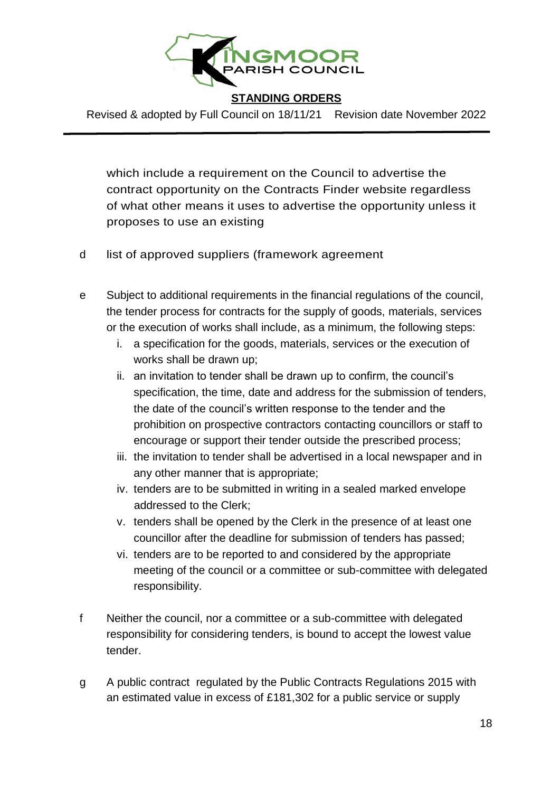

Revised & adopted by Full Council on 18/11/21 Revision date November 2022

which include a requirement on the Council to advertise the contract opportunity on the Contracts Finder website regardless of what other means it uses to advertise the opportunity unless it proposes to use an existing

- d list of approved suppliers (framework agreement
- e Subject to additional requirements in the financial regulations of the council, the tender process for contracts for the supply of goods, materials, services or the execution of works shall include, as a minimum, the following steps:
	- i. a specification for the goods, materials, services or the execution of works shall be drawn up;
	- ii. an invitation to tender shall be drawn up to confirm, the council's specification, the time, date and address for the submission of tenders, the date of the council's written response to the tender and the prohibition on prospective contractors contacting councillors or staff to encourage or support their tender outside the prescribed process;
	- iii. the invitation to tender shall be advertised in a local newspaper and in any other manner that is appropriate;
	- iv. tenders are to be submitted in writing in a sealed marked envelope addressed to the Clerk;
	- v. tenders shall be opened by the Clerk in the presence of at least one councillor after the deadline for submission of tenders has passed;
	- vi. tenders are to be reported to and considered by the appropriate meeting of the council or a committee or sub-committee with delegated responsibility.
- f Neither the council, nor a committee or a sub-committee with delegated responsibility for considering tenders, is bound to accept the lowest value tender.
- g A public contract regulated by the Public Contracts Regulations 2015 with an estimated value in excess of £181,302 for a public service or supply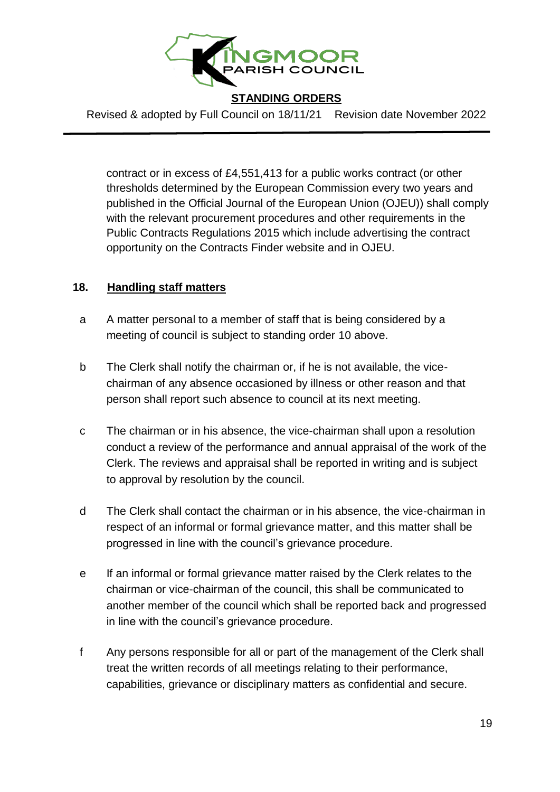

Revised & adopted by Full Council on 18/11/21 Revision date November 2022

contract or in excess of £4,551,413 for a public works contract (or other thresholds determined by the European Commission every two years and published in the Official Journal of the European Union (OJEU)) shall comply with the relevant procurement procedures and other requirements in the Public Contracts Regulations 2015 which include advertising the contract opportunity on the Contracts Finder website and in OJEU.

#### **18. Handling staff matters**

- a A matter personal to a member of staff that is being considered by a meeting of council is subject to standing order 10 above.
- b The Clerk shall notify the chairman or, if he is not available, the vicechairman of any absence occasioned by illness or other reason and that person shall report such absence to council at its next meeting.
- c The chairman or in his absence, the vice-chairman shall upon a resolution conduct a review of the performance and annual appraisal of the work of the Clerk. The reviews and appraisal shall be reported in writing and is subject to approval by resolution by the council.
- d The Clerk shall contact the chairman or in his absence, the vice-chairman in respect of an informal or formal grievance matter, and this matter shall be progressed in line with the council's grievance procedure.
- e If an informal or formal grievance matter raised by the Clerk relates to the chairman or vice-chairman of the council, this shall be communicated to another member of the council which shall be reported back and progressed in line with the council's grievance procedure.
- f Any persons responsible for all or part of the management of the Clerk shall treat the written records of all meetings relating to their performance, capabilities, grievance or disciplinary matters as confidential and secure.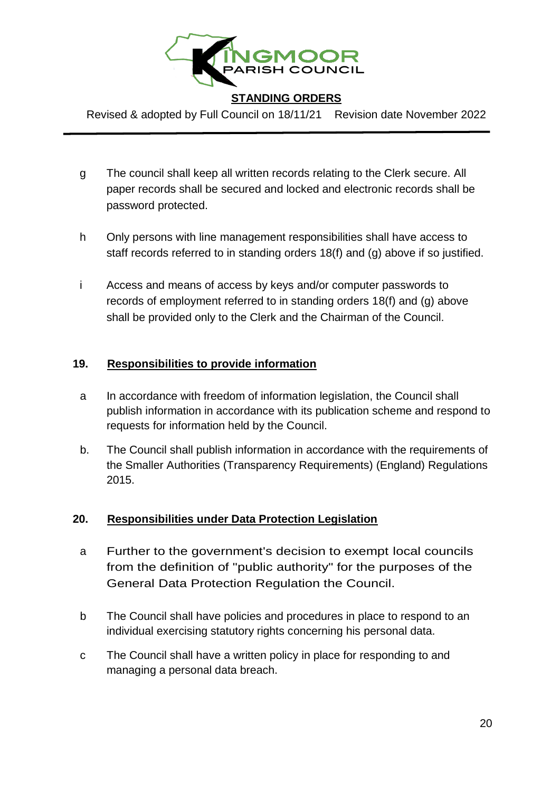

Revised & adopted by Full Council on 18/11/21 Revision date November 2022

- g The council shall keep all written records relating to the Clerk secure. All paper records shall be secured and locked and electronic records shall be password protected.
- h Only persons with line management responsibilities shall have access to staff records referred to in standing orders 18(f) and (g) above if so justified.
- i Access and means of access by keys and/or computer passwords to records of employment referred to in standing orders 18(f) and (g) above shall be provided only to the Clerk and the Chairman of the Council.

#### **19. Responsibilities to provide information**

- a In accordance with freedom of information legislation, the Council shall publish information in accordance with its publication scheme and respond to requests for information held by the Council.
- b. The Council shall publish information in accordance with the requirements of the Smaller Authorities (Transparency Requirements) (England) Regulations 2015.

# **20. Responsibilities under Data Protection Legislation**

- a Further to the government's decision to exempt local councils from the definition of "public authority" for the purposes of the General Data Protection Regulation the Council.
- b The Council shall have policies and procedures in place to respond to an individual exercising statutory rights concerning his personal data.
- c The Council shall have a written policy in place for responding to and managing a personal data breach.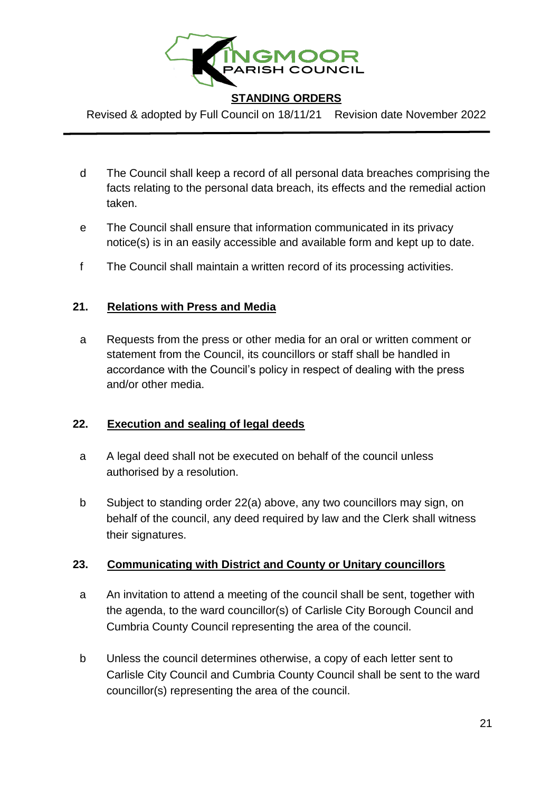

Revised & adopted by Full Council on 18/11/21 Revision date November 2022

- d The Council shall keep a record of all personal data breaches comprising the facts relating to the personal data breach, its effects and the remedial action taken.
- e The Council shall ensure that information communicated in its privacy notice(s) is in an easily accessible and available form and kept up to date.
- f The Council shall maintain a written record of its processing activities.

#### **21. Relations with Press and Media**

a Requests from the press or other media for an oral or written comment or statement from the Council, its councillors or staff shall be handled in accordance with the Council's policy in respect of dealing with the press and/or other media.

#### **22. Execution and sealing of legal deeds**

- a A legal deed shall not be executed on behalf of the council unless authorised by a resolution.
- b Subject to standing order 22(a) above, any two councillors may sign, on behalf of the council, any deed required by law and the Clerk shall witness their signatures.

# **23. Communicating with District and County or Unitary councillors**

- a An invitation to attend a meeting of the council shall be sent, together with the agenda, to the ward councillor(s) of Carlisle City Borough Council and Cumbria County Council representing the area of the council.
- b Unless the council determines otherwise, a copy of each letter sent to Carlisle City Council and Cumbria County Council shall be sent to the ward councillor(s) representing the area of the council.